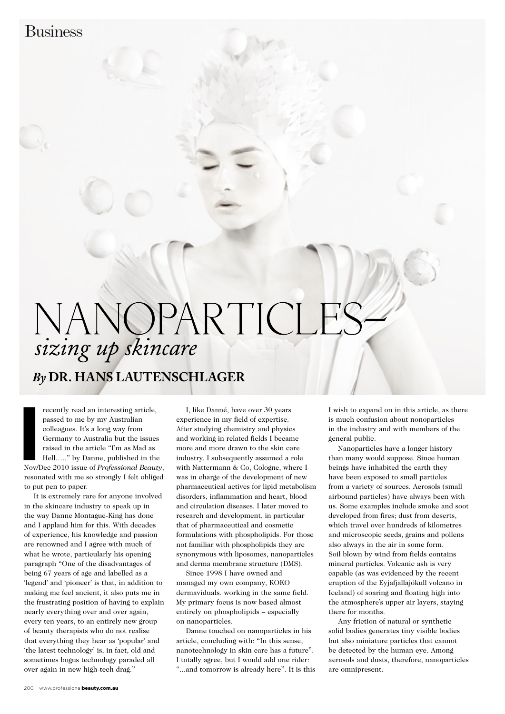## NANOPARTICLE sizing up skincare

## *By* **Dr. Hans Lautenschlager**

**I**<br>**I**<br>**I**<br>**I**<br>**I** recently read an interesting article, passed to me by my Australian colleagues. It's a long way from Germany to Australia but the issues raised in the article "I'm as Mad as Hell….." by Danne, published in the Nov/Dec 2010 issue of *Professional Beauty*, resonated with me so strongly I felt obliged to put pen to paper.

It is extremely rare for anyone involved in the skincare industry to speak up in the way Danne Montague-King has done and I applaud him for this. With decades of experience, his knowledge and passion are renowned and I agree with much of what he wrote, particularly his opening paragraph "One of the disadvantages of being 67 years of age and labelled as a 'legend' and 'pioneer' is that, in addition to making me feel ancient, it also puts me in the frustrating position of having to explain nearly everything over and over again, every ten years, to an entirely new group of beauty therapists who do not realise that everything they hear as 'popular' and 'the latest technology' is, in fact, old and sometimes bogus technology paraded all over again in new high-tech drag."

I, like Danné, have over 30 years experience in my field of expertise. After studying chemistry and physics and working in related fields I became more and more drawn to the skin care industry. I subsequently assumed a role with Nattermann & Co, Cologne, where I was in charge of the development of new pharmaceutical actives for lipid metabolism disorders, inflammation and heart, blood and circulation diseases. I later moved to research and development, in particular that of pharmaceutical and cosmetic formulations with phospholipids. For those not familiar with phospholipids they are synonymous with liposomes, nanoparticles and derma membrane structure (DMS).

Since 1998 I have owned and managed my own company, KOKO dermaviduals. working in the same field. My primary focus is now based almost entirely on phospholipids – especially on nanoparticles.

Danne touched on nanoparticles in his article, concluding with: "In this sense, nanotechnology in skin care has a future". I totally agree, but I would add one rider: "...and tomorrow is already here". It is this I wish to expand on in this article, as there is much confusion about nonoparticles in the industry and with members of the general public.

Nanoparticles have a longer history than many would suppose. Since human beings have inhabited the earth they have been exposed to small particles from a variety of sources. Aerosols (small airbound particles) have always been with us. Some examples include smoke and soot developed from fires; dust from deserts, which travel over hundreds of kilometres and microscopic seeds, grains and pollens also always in the air in some form. Soil blown by wind from fields contains mineral particles. Volcanic ash is very capable (as was evidenced by the recent eruption of the Eyjafjallajökull volcano in Iceland) of soaring and floating high into the atmosphere's upper air layers, staying there for months.

Any friction of natural or synthetic solid bodies generates tiny visible bodies but also miniature particles that cannot be detected by the human eye. Among aerosols and dusts, therefore, nanoparticles are omnipresent.